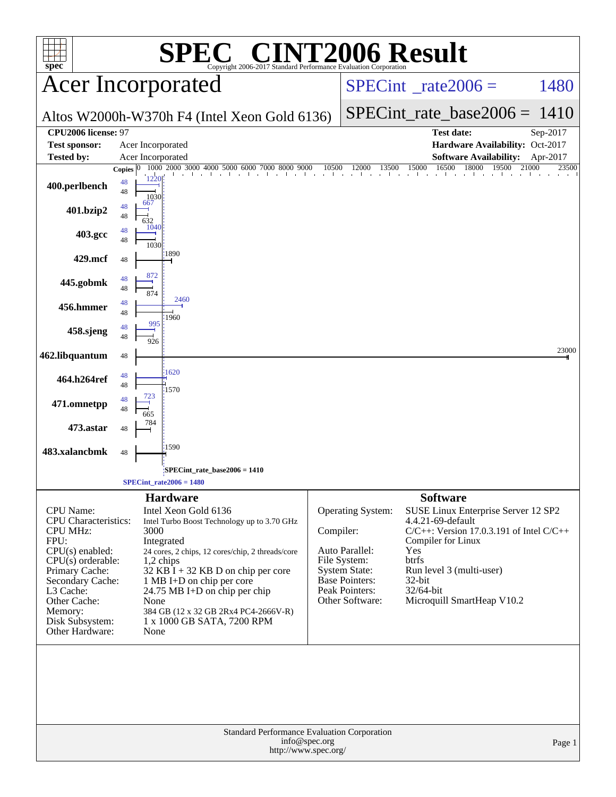| <b>SPEC<sup>®</sup> CINT2006 Result</b><br>$spec^*$<br>Copyright 2006-2017 Standard Performance Evaluation Corporation                                                                                                                     |                           |                      |                                                                                                                                                                                                                                                                                                                                  |               |                                                                                                                                           |                                                                                                                                                                                                                                  |                            |
|--------------------------------------------------------------------------------------------------------------------------------------------------------------------------------------------------------------------------------------------|---------------------------|----------------------|----------------------------------------------------------------------------------------------------------------------------------------------------------------------------------------------------------------------------------------------------------------------------------------------------------------------------------|---------------|-------------------------------------------------------------------------------------------------------------------------------------------|----------------------------------------------------------------------------------------------------------------------------------------------------------------------------------------------------------------------------------|----------------------------|
| <b>Acer Incorporated</b>                                                                                                                                                                                                                   |                           |                      |                                                                                                                                                                                                                                                                                                                                  |               | $SPECint^{\circ}$ rate $2006 =$                                                                                                           | 1480                                                                                                                                                                                                                             |                            |
|                                                                                                                                                                                                                                            |                           |                      | Altos W2000h-W370h F4 (Intel Xeon Gold 6136)                                                                                                                                                                                                                                                                                     |               | $SPECint_rate\_base2006 =$                                                                                                                | 1410                                                                                                                                                                                                                             |                            |
| CPU2006 license: 97                                                                                                                                                                                                                        |                           |                      |                                                                                                                                                                                                                                                                                                                                  |               | <b>Test date:</b>                                                                                                                         | Sep-2017                                                                                                                                                                                                                         |                            |
| <b>Test sponsor:</b>                                                                                                                                                                                                                       |                           |                      | Acer Incorporated                                                                                                                                                                                                                                                                                                                |               | Hardware Availability: Oct-2017                                                                                                           |                                                                                                                                                                                                                                  |                            |
| Tested by:                                                                                                                                                                                                                                 |                           |                      | Acer Incorporated<br>1000 2000 3000 4000 5000 6000 7000 8000 9000                                                                                                                                                                                                                                                                | 10500         | 12000<br>13500                                                                                                                            | <b>Software Availability:</b><br>16500<br>18000<br>19500<br>15000                                                                                                                                                                | Apr-2017<br>21000<br>23500 |
| 400.perlbench                                                                                                                                                                                                                              | <b>Copies</b><br>48<br>48 | 1220<br>1030         |                                                                                                                                                                                                                                                                                                                                  |               |                                                                                                                                           |                                                                                                                                                                                                                                  |                            |
| 401.bzip2                                                                                                                                                                                                                                  | 48<br>48                  | 667<br>632           |                                                                                                                                                                                                                                                                                                                                  |               |                                                                                                                                           |                                                                                                                                                                                                                                  |                            |
| 403.gcc                                                                                                                                                                                                                                    | 48<br>48                  | 1040<br>1030         |                                                                                                                                                                                                                                                                                                                                  |               |                                                                                                                                           |                                                                                                                                                                                                                                  |                            |
| 429.mcf                                                                                                                                                                                                                                    | 48                        |                      | :1890                                                                                                                                                                                                                                                                                                                            |               |                                                                                                                                           |                                                                                                                                                                                                                                  |                            |
| 445.gobmk                                                                                                                                                                                                                                  | 48<br>48                  | 872<br>874           |                                                                                                                                                                                                                                                                                                                                  |               |                                                                                                                                           |                                                                                                                                                                                                                                  |                            |
| 456.hmmer                                                                                                                                                                                                                                  | 48<br>48                  |                      | 2460<br>1960                                                                                                                                                                                                                                                                                                                     |               |                                                                                                                                           |                                                                                                                                                                                                                                  |                            |
| 458.sjeng                                                                                                                                                                                                                                  | 48<br>48                  | 995<br>926           |                                                                                                                                                                                                                                                                                                                                  |               |                                                                                                                                           |                                                                                                                                                                                                                                  |                            |
| 462.libquantum                                                                                                                                                                                                                             | 48                        |                      |                                                                                                                                                                                                                                                                                                                                  |               |                                                                                                                                           |                                                                                                                                                                                                                                  | 23000                      |
| 464.h264ref                                                                                                                                                                                                                                | 48<br>48                  |                      | 1620<br>1570                                                                                                                                                                                                                                                                                                                     |               |                                                                                                                                           |                                                                                                                                                                                                                                  |                            |
| 471.omnetpp                                                                                                                                                                                                                                | 48<br>48                  | 723<br>665           |                                                                                                                                                                                                                                                                                                                                  |               |                                                                                                                                           |                                                                                                                                                                                                                                  |                            |
| 473.astar                                                                                                                                                                                                                                  | 48                        | 784                  |                                                                                                                                                                                                                                                                                                                                  |               |                                                                                                                                           |                                                                                                                                                                                                                                  |                            |
| 483.xalancbmk                                                                                                                                                                                                                              | 48                        |                      | 1590                                                                                                                                                                                                                                                                                                                             |               |                                                                                                                                           |                                                                                                                                                                                                                                  |                            |
|                                                                                                                                                                                                                                            |                           |                      | SPECint_rate_base2006 = 1410<br>$SPECint_rate2006 = 1480$                                                                                                                                                                                                                                                                        |               |                                                                                                                                           |                                                                                                                                                                                                                                  |                            |
|                                                                                                                                                                                                                                            |                           |                      | <b>Hardware</b>                                                                                                                                                                                                                                                                                                                  |               |                                                                                                                                           | <b>Software</b>                                                                                                                                                                                                                  |                            |
| <b>CPU</b> Name:<br><b>CPU</b> Characteristics:<br><b>CPU MHz:</b><br>FPU:<br>$CPU(s)$ enabled:<br>$CPU(s)$ orderable:<br>Primary Cache:<br>Secondary Cache:<br>L3 Cache:<br>Other Cache:<br>Memory:<br>Disk Subsystem:<br>Other Hardware: |                           | 3000<br>None<br>None | Intel Xeon Gold 6136<br>Intel Turbo Boost Technology up to 3.70 GHz<br>Integrated<br>24 cores, 2 chips, 12 cores/chip, 2 threads/core<br>$1,2$ chips<br>$32$ KB I + 32 KB D on chip per core<br>1 MB I+D on chip per core<br>24.75 MB I+D on chip per chip<br>384 GB (12 x 32 GB 2Rx4 PC4-2666V-R)<br>1 x 1000 GB SATA, 7200 RPM | Compiler:     | <b>Operating System:</b><br>Auto Parallel:<br>File System:<br><b>System State:</b><br>Base Pointers:<br>Peak Pointers:<br>Other Software: | SUSE Linux Enterprise Server 12 SP2<br>4.4.21-69-default<br>$C/C++$ : Version 17.0.3.191 of Intel $C/C++$<br>Compiler for Linux<br>Yes<br>btrfs<br>Run level 3 (multi-user)<br>32-bit<br>32/64-bit<br>Microquill SmartHeap V10.2 |                            |
|                                                                                                                                                                                                                                            |                           |                      |                                                                                                                                                                                                                                                                                                                                  |               |                                                                                                                                           |                                                                                                                                                                                                                                  |                            |
|                                                                                                                                                                                                                                            |                           |                      | Standard Performance Evaluation Corporation<br>http://www.spec.org/                                                                                                                                                                                                                                                              | info@spec.org |                                                                                                                                           |                                                                                                                                                                                                                                  | Page 1                     |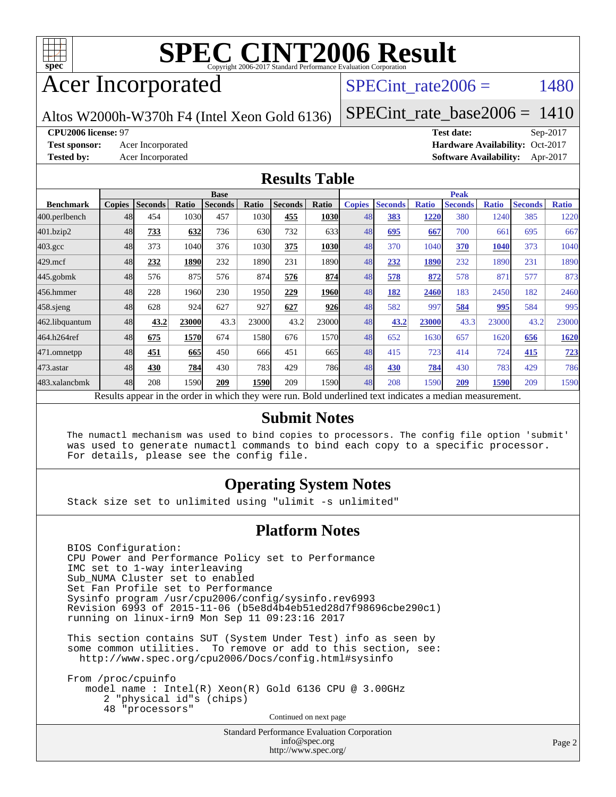

# Acer Incorporated

SPECint rate $2006 = 1480$ 

Altos W2000h-W370h F4 (Intel Xeon Gold 6136)

[SPECint\\_rate\\_base2006 =](http://www.spec.org/auto/cpu2006/Docs/result-fields.html#SPECintratebase2006) 1410

#### **[CPU2006 license:](http://www.spec.org/auto/cpu2006/Docs/result-fields.html#CPU2006license)** 97 **[Test date:](http://www.spec.org/auto/cpu2006/Docs/result-fields.html#Testdate)** Sep-2017

**[Test sponsor:](http://www.spec.org/auto/cpu2006/Docs/result-fields.html#Testsponsor)** Acer Incorporated **[Hardware Availability:](http://www.spec.org/auto/cpu2006/Docs/result-fields.html#HardwareAvailability)** Oct-2017 **[Tested by:](http://www.spec.org/auto/cpu2006/Docs/result-fields.html#Testedby)** Acer Incorporated **[Software Availability:](http://www.spec.org/auto/cpu2006/Docs/result-fields.html#SoftwareAvailability)** Apr-2017

#### **[Results Table](http://www.spec.org/auto/cpu2006/Docs/result-fields.html#ResultsTable)**

|                                                                                                          | <b>Base</b>   |                |              |                |            |                |             | <b>Peak</b>   |                |              |                |              |                |              |
|----------------------------------------------------------------------------------------------------------|---------------|----------------|--------------|----------------|------------|----------------|-------------|---------------|----------------|--------------|----------------|--------------|----------------|--------------|
| <b>Benchmark</b>                                                                                         | <b>Copies</b> | <b>Seconds</b> | <b>Ratio</b> | <b>Seconds</b> | Ratio      | <b>Seconds</b> | Ratio       | <b>Copies</b> | <b>Seconds</b> | <b>Ratio</b> | <b>Seconds</b> | <b>Ratio</b> | <b>Seconds</b> | <b>Ratio</b> |
| 400.perlbench                                                                                            | 48            | 454            | 1030         | 457            | 1030l      | 455            | <b>1030</b> | 48            | 383            | 1220         | 380            | 1240         | 385            | 1220         |
| 401.bzip2                                                                                                | 48            | 733            | 632          | 736            | 630        | 732            | 633         | 48            | 695            | 667          | 700            | 661          | 695            | 667          |
| $403.\text{gcc}$                                                                                         | 48            | 373            | 1040         | 376            | 1030       | 375            | 1030        | 48            | 370            | 1040         | 370            | 1040         | 373            | 1040         |
| $429$ .mcf                                                                                               | 48            | 232            | 1890         | 232            | 1890       | 231            | 1890        | 48            | 232            | 1890         | 232            | 1890         | 231            | 1890         |
| $445$ .gobmk                                                                                             | 48            | 576            | 875          | 576            | 874        | 576            | 874         | 48            | 578            | 872          | 578            | 87           | 577            | 873          |
| 456.hmmer                                                                                                | 48            | 228            | 1960         | 230            | 1950       | 229            | <b>1960</b> | 48            | 182            | 2460         | 183            | 2450         | 182            | 2460         |
| $458$ .sjeng                                                                                             | 48            | 628            | 924          | 627            | 927        | 627            | 926         | 48            | 582            | 997          | 584            | 995          | 584            | 995          |
| 462.libquantum                                                                                           | 48            | 43.2           | 23000        | 43.3           | 23000      | 43.2           | 23000l      | 48            | 43.2           | 23000        | 43.3           | 23000        | 43.2           | 23000        |
| 464.h264ref                                                                                              | 48            | 675            | 1570         | 674            | 1580       | 676            | 1570        | 48            | 652            | 1630         | 657            | 1620         | 656            | 1620         |
| 471.omnetpp                                                                                              | 48            | 451            | 665          | 450            | 666        | 451            | 665         | 48            | 415            | 723          | 414            | 724          | 415            | <u>723</u>   |
| 473.astar                                                                                                | 48            | 430            | 784          | 430            | <b>783</b> | 429            | <b>786</b>  | 48            | 430            | 784          | 430            | 783          | 429            | 786          |
| 483.xalancbmk                                                                                            | 48            | 208            | 1590         | 209            | 1590       | 209            | 1590        | 48            | 208            | 1590         | 209            | 1590         | 209            | 1590         |
| Results appear in the order in which they were run. Bold underlined text indicates a median measurement. |               |                |              |                |            |                |             |               |                |              |                |              |                |              |

#### **[Submit Notes](http://www.spec.org/auto/cpu2006/Docs/result-fields.html#SubmitNotes)**

 The numactl mechanism was used to bind copies to processors. The config file option 'submit' was used to generate numactl commands to bind each copy to a specific processor. For details, please see the config file.

### **[Operating System Notes](http://www.spec.org/auto/cpu2006/Docs/result-fields.html#OperatingSystemNotes)**

Stack size set to unlimited using "ulimit -s unlimited"

#### **[Platform Notes](http://www.spec.org/auto/cpu2006/Docs/result-fields.html#PlatformNotes)**

 BIOS Configuration: CPU Power and Performance Policy set to Performance IMC set to 1-way interleaving Sub\_NUMA Cluster set to enabled Set Fan Profile set to Performance Sysinfo program /usr/cpu2006/config/sysinfo.rev6993 Revision 6993 of 2015-11-06 (b5e8d4b4eb51ed28d7f98696cbe290c1) running on linux-irn9 Mon Sep 11 09:23:16 2017

 This section contains SUT (System Under Test) info as seen by some common utilities. To remove or add to this section, see: <http://www.spec.org/cpu2006/Docs/config.html#sysinfo>

 From /proc/cpuinfo model name : Intel(R) Xeon(R) Gold 6136 CPU @ 3.00GHz 2 "physical id"s (chips) 48 "processors" Continued on next page

> Standard Performance Evaluation Corporation [info@spec.org](mailto:info@spec.org) <http://www.spec.org/>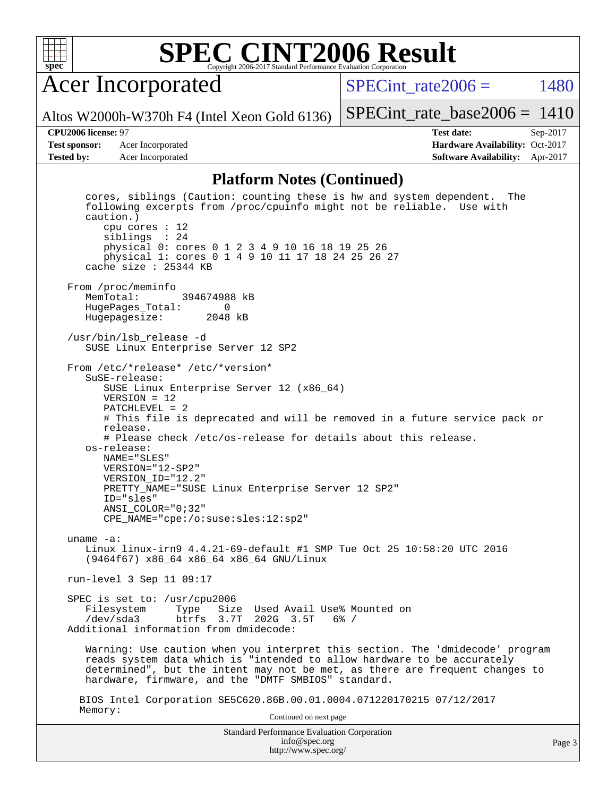

# Acer Incorporated

SPECint rate $2006 = 1480$ 

Altos W2000h-W370h F4 (Intel Xeon Gold 6136)

[SPECint\\_rate\\_base2006 =](http://www.spec.org/auto/cpu2006/Docs/result-fields.html#SPECintratebase2006) 1410

**[Test sponsor:](http://www.spec.org/auto/cpu2006/Docs/result-fields.html#Testsponsor)** Acer Incorporated **Acceleration Availability:** Oct-2017

**[CPU2006 license:](http://www.spec.org/auto/cpu2006/Docs/result-fields.html#CPU2006license)** 97 **[Test date:](http://www.spec.org/auto/cpu2006/Docs/result-fields.html#Testdate)** Sep-2017 **[Tested by:](http://www.spec.org/auto/cpu2006/Docs/result-fields.html#Testedby)** Acer Incorporated **[Software Availability:](http://www.spec.org/auto/cpu2006/Docs/result-fields.html#SoftwareAvailability)** Apr-2017

#### **[Platform Notes \(Continued\)](http://www.spec.org/auto/cpu2006/Docs/result-fields.html#PlatformNotes)**

Standard Performance Evaluation Corporation [info@spec.org](mailto:info@spec.org) <http://www.spec.org/> cores, siblings (Caution: counting these is hw and system dependent. The following excerpts from /proc/cpuinfo might not be reliable. Use with caution.) cpu cores : 12 siblings : 24 physical 0: cores 0 1 2 3 4 9 10 16 18 19 25 26 physical 1: cores 0 1 4 9 10 11 17 18 24 25 26 27 cache size : 25344 KB From /proc/meminfo<br>MemTotal: 394674988 kB HugePages\_Total: 0 Hugepagesize: 2048 kB /usr/bin/lsb\_release -d SUSE Linux Enterprise Server 12 SP2 From /etc/\*release\* /etc/\*version\* SuSE-release: SUSE Linux Enterprise Server 12 (x86\_64) VERSION = 12 PATCHLEVEL = 2 # This file is deprecated and will be removed in a future service pack or release. # Please check /etc/os-release for details about this release. os-release: NAME="SLES" VERSION="12-SP2" VERSION\_ID="12.2" PRETTY\_NAME="SUSE Linux Enterprise Server 12 SP2" ID="sles" ANSI\_COLOR="0;32" CPE\_NAME="cpe:/o:suse:sles:12:sp2" uname -a: Linux linux-irn9 4.4.21-69-default #1 SMP Tue Oct 25 10:58:20 UTC 2016 (9464f67) x86\_64 x86\_64 x86\_64 GNU/Linux run-level 3 Sep 11 09:17 SPEC is set to: /usr/cpu2006 Filesystem Type Size Used Avail Use% Mounted on<br>
/dev/sda3 btrfs 3.7T 202G 3.5T 6% / /dev/sda3 btrfs 3.7T 202G 3.5T 6% / Additional information from dmidecode: Warning: Use caution when you interpret this section. The 'dmidecode' program reads system data which is "intended to allow hardware to be accurately determined", but the intent may not be met, as there are frequent changes to hardware, firmware, and the "DMTF SMBIOS" standard. BIOS Intel Corporation SE5C620.86B.00.01.0004.071220170215 07/12/2017 Memory: Continued on next page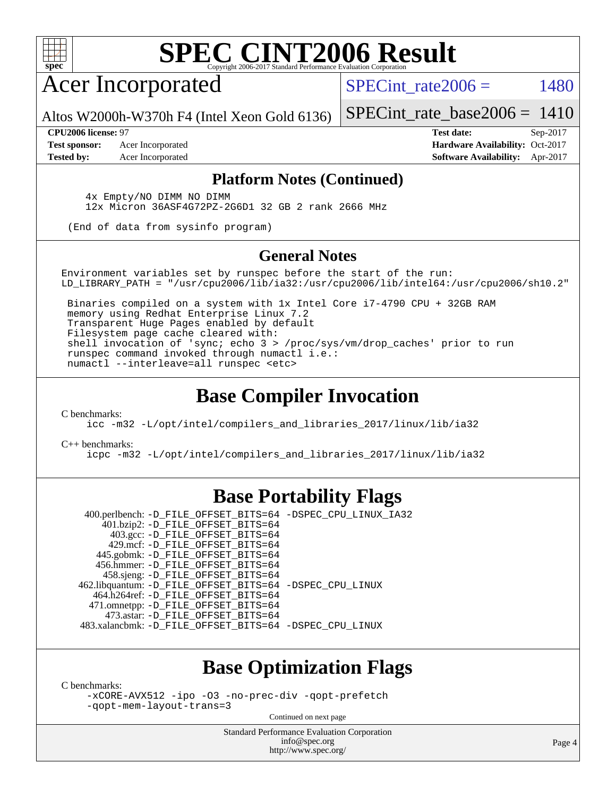

Acer Incorporated

SPECint rate  $2006 = 1480$ 

Altos W2000h-W370h F4 (Intel Xeon Gold 6136)

[SPECint\\_rate\\_base2006 =](http://www.spec.org/auto/cpu2006/Docs/result-fields.html#SPECintratebase2006) 1410

**[Test sponsor:](http://www.spec.org/auto/cpu2006/Docs/result-fields.html#Testsponsor)** Acer Incorporated **Acceleration Availability:** Oct-2017

**[CPU2006 license:](http://www.spec.org/auto/cpu2006/Docs/result-fields.html#CPU2006license)** 97 **[Test date:](http://www.spec.org/auto/cpu2006/Docs/result-fields.html#Testdate)** Sep-2017 **[Tested by:](http://www.spec.org/auto/cpu2006/Docs/result-fields.html#Testedby)** Acer Incorporated **[Software Availability:](http://www.spec.org/auto/cpu2006/Docs/result-fields.html#SoftwareAvailability)** Apr-2017

### **[Platform Notes \(Continued\)](http://www.spec.org/auto/cpu2006/Docs/result-fields.html#PlatformNotes)**

 4x Empty/NO DIMM NO DIMM 12x Micron 36ASF4G72PZ-2G6D1 32 GB 2 rank 2666 MHz

(End of data from sysinfo program)

### **[General Notes](http://www.spec.org/auto/cpu2006/Docs/result-fields.html#GeneralNotes)**

Environment variables set by runspec before the start of the run: LD\_LIBRARY\_PATH = "/usr/cpu2006/lib/ia32:/usr/cpu2006/lib/intel64:/usr/cpu2006/sh10.2"

 Binaries compiled on a system with 1x Intel Core i7-4790 CPU + 32GB RAM memory using Redhat Enterprise Linux 7.2 Transparent Huge Pages enabled by default Filesystem page cache cleared with: shell invocation of 'sync; echo 3 > /proc/sys/vm/drop\_caches' prior to run runspec command invoked through numactl i.e.: numactl --interleave=all runspec <etc>

# **[Base Compiler Invocation](http://www.spec.org/auto/cpu2006/Docs/result-fields.html#BaseCompilerInvocation)**

[C benchmarks](http://www.spec.org/auto/cpu2006/Docs/result-fields.html#Cbenchmarks):

[icc -m32 -L/opt/intel/compilers\\_and\\_libraries\\_2017/linux/lib/ia32](http://www.spec.org/cpu2006/results/res2017q4/cpu2006-20170918-49445.flags.html#user_CCbase_intel_icc_c29f3ff5a7ed067b11e4ec10a03f03ae)

[C++ benchmarks:](http://www.spec.org/auto/cpu2006/Docs/result-fields.html#CXXbenchmarks)

[icpc -m32 -L/opt/intel/compilers\\_and\\_libraries\\_2017/linux/lib/ia32](http://www.spec.org/cpu2006/results/res2017q4/cpu2006-20170918-49445.flags.html#user_CXXbase_intel_icpc_8c35c7808b62dab9ae41a1aa06361b6b)

# **[Base Portability Flags](http://www.spec.org/auto/cpu2006/Docs/result-fields.html#BasePortabilityFlags)**

 400.perlbench: [-D\\_FILE\\_OFFSET\\_BITS=64](http://www.spec.org/cpu2006/results/res2017q4/cpu2006-20170918-49445.flags.html#user_basePORTABILITY400_perlbench_file_offset_bits_64_438cf9856305ebd76870a2c6dc2689ab) [-DSPEC\\_CPU\\_LINUX\\_IA32](http://www.spec.org/cpu2006/results/res2017q4/cpu2006-20170918-49445.flags.html#b400.perlbench_baseCPORTABILITY_DSPEC_CPU_LINUX_IA32) 401.bzip2: [-D\\_FILE\\_OFFSET\\_BITS=64](http://www.spec.org/cpu2006/results/res2017q4/cpu2006-20170918-49445.flags.html#user_basePORTABILITY401_bzip2_file_offset_bits_64_438cf9856305ebd76870a2c6dc2689ab) 403.gcc: [-D\\_FILE\\_OFFSET\\_BITS=64](http://www.spec.org/cpu2006/results/res2017q4/cpu2006-20170918-49445.flags.html#user_basePORTABILITY403_gcc_file_offset_bits_64_438cf9856305ebd76870a2c6dc2689ab) 429.mcf: [-D\\_FILE\\_OFFSET\\_BITS=64](http://www.spec.org/cpu2006/results/res2017q4/cpu2006-20170918-49445.flags.html#user_basePORTABILITY429_mcf_file_offset_bits_64_438cf9856305ebd76870a2c6dc2689ab) 445.gobmk: [-D\\_FILE\\_OFFSET\\_BITS=64](http://www.spec.org/cpu2006/results/res2017q4/cpu2006-20170918-49445.flags.html#user_basePORTABILITY445_gobmk_file_offset_bits_64_438cf9856305ebd76870a2c6dc2689ab) 456.hmmer: [-D\\_FILE\\_OFFSET\\_BITS=64](http://www.spec.org/cpu2006/results/res2017q4/cpu2006-20170918-49445.flags.html#user_basePORTABILITY456_hmmer_file_offset_bits_64_438cf9856305ebd76870a2c6dc2689ab) 458.sjeng: [-D\\_FILE\\_OFFSET\\_BITS=64](http://www.spec.org/cpu2006/results/res2017q4/cpu2006-20170918-49445.flags.html#user_basePORTABILITY458_sjeng_file_offset_bits_64_438cf9856305ebd76870a2c6dc2689ab) 462.libquantum: [-D\\_FILE\\_OFFSET\\_BITS=64](http://www.spec.org/cpu2006/results/res2017q4/cpu2006-20170918-49445.flags.html#user_basePORTABILITY462_libquantum_file_offset_bits_64_438cf9856305ebd76870a2c6dc2689ab) [-DSPEC\\_CPU\\_LINUX](http://www.spec.org/cpu2006/results/res2017q4/cpu2006-20170918-49445.flags.html#b462.libquantum_baseCPORTABILITY_DSPEC_CPU_LINUX) 464.h264ref: [-D\\_FILE\\_OFFSET\\_BITS=64](http://www.spec.org/cpu2006/results/res2017q4/cpu2006-20170918-49445.flags.html#user_basePORTABILITY464_h264ref_file_offset_bits_64_438cf9856305ebd76870a2c6dc2689ab) 471.omnetpp: [-D\\_FILE\\_OFFSET\\_BITS=64](http://www.spec.org/cpu2006/results/res2017q4/cpu2006-20170918-49445.flags.html#user_basePORTABILITY471_omnetpp_file_offset_bits_64_438cf9856305ebd76870a2c6dc2689ab) 473.astar: [-D\\_FILE\\_OFFSET\\_BITS=64](http://www.spec.org/cpu2006/results/res2017q4/cpu2006-20170918-49445.flags.html#user_basePORTABILITY473_astar_file_offset_bits_64_438cf9856305ebd76870a2c6dc2689ab) 483.xalancbmk: [-D\\_FILE\\_OFFSET\\_BITS=64](http://www.spec.org/cpu2006/results/res2017q4/cpu2006-20170918-49445.flags.html#user_basePORTABILITY483_xalancbmk_file_offset_bits_64_438cf9856305ebd76870a2c6dc2689ab) [-DSPEC\\_CPU\\_LINUX](http://www.spec.org/cpu2006/results/res2017q4/cpu2006-20170918-49445.flags.html#b483.xalancbmk_baseCXXPORTABILITY_DSPEC_CPU_LINUX)

### **[Base Optimization Flags](http://www.spec.org/auto/cpu2006/Docs/result-fields.html#BaseOptimizationFlags)**

[C benchmarks](http://www.spec.org/auto/cpu2006/Docs/result-fields.html#Cbenchmarks):

[-xCORE-AVX512](http://www.spec.org/cpu2006/results/res2017q4/cpu2006-20170918-49445.flags.html#user_CCbase_f-xCORE-AVX512) [-ipo](http://www.spec.org/cpu2006/results/res2017q4/cpu2006-20170918-49445.flags.html#user_CCbase_f-ipo) [-O3](http://www.spec.org/cpu2006/results/res2017q4/cpu2006-20170918-49445.flags.html#user_CCbase_f-O3) [-no-prec-div](http://www.spec.org/cpu2006/results/res2017q4/cpu2006-20170918-49445.flags.html#user_CCbase_f-no-prec-div) [-qopt-prefetch](http://www.spec.org/cpu2006/results/res2017q4/cpu2006-20170918-49445.flags.html#user_CCbase_f-qopt-prefetch) [-qopt-mem-layout-trans=3](http://www.spec.org/cpu2006/results/res2017q4/cpu2006-20170918-49445.flags.html#user_CCbase_f-qopt-mem-layout-trans_170f5be61cd2cedc9b54468c59262d5d)

Continued on next page

Standard Performance Evaluation Corporation [info@spec.org](mailto:info@spec.org) <http://www.spec.org/>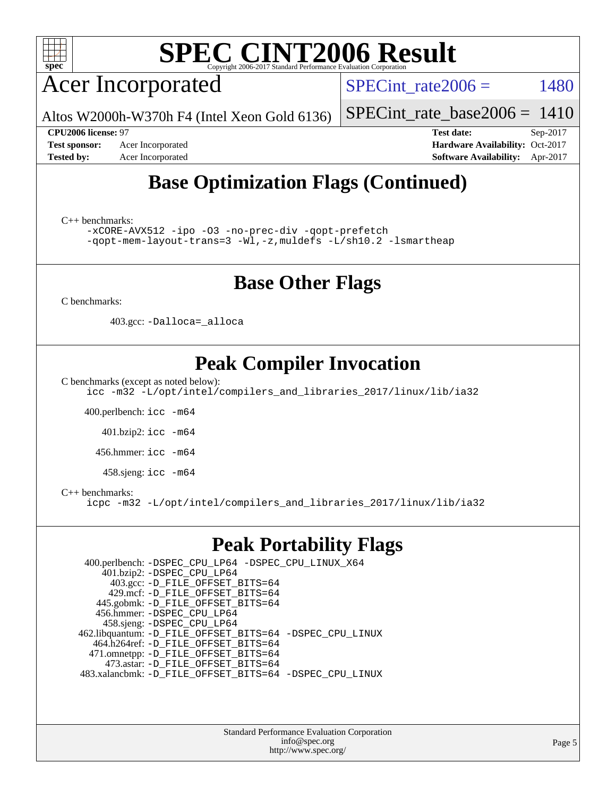

Acer Incorporated

SPECint rate $2006 = 1480$ 

Altos W2000h-W370h F4 (Intel Xeon Gold 6136)

[SPECint\\_rate\\_base2006 =](http://www.spec.org/auto/cpu2006/Docs/result-fields.html#SPECintratebase2006) 1410

**[CPU2006 license:](http://www.spec.org/auto/cpu2006/Docs/result-fields.html#CPU2006license)** 97 **[Test date:](http://www.spec.org/auto/cpu2006/Docs/result-fields.html#Testdate)** Sep-2017 **[Test sponsor:](http://www.spec.org/auto/cpu2006/Docs/result-fields.html#Testsponsor)** Acer Incorporated **Acceleration Availability:** Oct-2017 **[Tested by:](http://www.spec.org/auto/cpu2006/Docs/result-fields.html#Testedby)** Acer Incorporated **[Software Availability:](http://www.spec.org/auto/cpu2006/Docs/result-fields.html#SoftwareAvailability)** Apr-2017

# **[Base Optimization Flags \(Continued\)](http://www.spec.org/auto/cpu2006/Docs/result-fields.html#BaseOptimizationFlags)**

[C++ benchmarks:](http://www.spec.org/auto/cpu2006/Docs/result-fields.html#CXXbenchmarks)

[-xCORE-AVX512](http://www.spec.org/cpu2006/results/res2017q4/cpu2006-20170918-49445.flags.html#user_CXXbase_f-xCORE-AVX512) [-ipo](http://www.spec.org/cpu2006/results/res2017q4/cpu2006-20170918-49445.flags.html#user_CXXbase_f-ipo) [-O3](http://www.spec.org/cpu2006/results/res2017q4/cpu2006-20170918-49445.flags.html#user_CXXbase_f-O3) [-no-prec-div](http://www.spec.org/cpu2006/results/res2017q4/cpu2006-20170918-49445.flags.html#user_CXXbase_f-no-prec-div) [-qopt-prefetch](http://www.spec.org/cpu2006/results/res2017q4/cpu2006-20170918-49445.flags.html#user_CXXbase_f-qopt-prefetch) [-qopt-mem-layout-trans=3](http://www.spec.org/cpu2006/results/res2017q4/cpu2006-20170918-49445.flags.html#user_CXXbase_f-qopt-mem-layout-trans_170f5be61cd2cedc9b54468c59262d5d) [-Wl,-z,muldefs](http://www.spec.org/cpu2006/results/res2017q4/cpu2006-20170918-49445.flags.html#user_CXXbase_link_force_multiple1_74079c344b956b9658436fd1b6dd3a8a) [-L/sh10.2 -lsmartheap](http://www.spec.org/cpu2006/results/res2017q4/cpu2006-20170918-49445.flags.html#user_CXXbase_SmartHeap_b831f2d313e2fffa6dfe3f00ffc1f1c0)

# **[Base Other Flags](http://www.spec.org/auto/cpu2006/Docs/result-fields.html#BaseOtherFlags)**

[C benchmarks](http://www.spec.org/auto/cpu2006/Docs/result-fields.html#Cbenchmarks):

403.gcc: [-Dalloca=\\_alloca](http://www.spec.org/cpu2006/results/res2017q4/cpu2006-20170918-49445.flags.html#b403.gcc_baseEXTRA_CFLAGS_Dalloca_be3056838c12de2578596ca5467af7f3)

# **[Peak Compiler Invocation](http://www.spec.org/auto/cpu2006/Docs/result-fields.html#PeakCompilerInvocation)**

[C benchmarks \(except as noted below\)](http://www.spec.org/auto/cpu2006/Docs/result-fields.html#Cbenchmarksexceptasnotedbelow):

[icc -m32 -L/opt/intel/compilers\\_and\\_libraries\\_2017/linux/lib/ia32](http://www.spec.org/cpu2006/results/res2017q4/cpu2006-20170918-49445.flags.html#user_CCpeak_intel_icc_c29f3ff5a7ed067b11e4ec10a03f03ae)

400.perlbench: [icc -m64](http://www.spec.org/cpu2006/results/res2017q4/cpu2006-20170918-49445.flags.html#user_peakCCLD400_perlbench_intel_icc_64bit_bda6cc9af1fdbb0edc3795bac97ada53)

401.bzip2: [icc -m64](http://www.spec.org/cpu2006/results/res2017q4/cpu2006-20170918-49445.flags.html#user_peakCCLD401_bzip2_intel_icc_64bit_bda6cc9af1fdbb0edc3795bac97ada53)

456.hmmer: [icc -m64](http://www.spec.org/cpu2006/results/res2017q4/cpu2006-20170918-49445.flags.html#user_peakCCLD456_hmmer_intel_icc_64bit_bda6cc9af1fdbb0edc3795bac97ada53)

458.sjeng: [icc -m64](http://www.spec.org/cpu2006/results/res2017q4/cpu2006-20170918-49445.flags.html#user_peakCCLD458_sjeng_intel_icc_64bit_bda6cc9af1fdbb0edc3795bac97ada53)

#### [C++ benchmarks:](http://www.spec.org/auto/cpu2006/Docs/result-fields.html#CXXbenchmarks)

[icpc -m32 -L/opt/intel/compilers\\_and\\_libraries\\_2017/linux/lib/ia32](http://www.spec.org/cpu2006/results/res2017q4/cpu2006-20170918-49445.flags.html#user_CXXpeak_intel_icpc_8c35c7808b62dab9ae41a1aa06361b6b)

### **[Peak Portability Flags](http://www.spec.org/auto/cpu2006/Docs/result-fields.html#PeakPortabilityFlags)**

 400.perlbench: [-DSPEC\\_CPU\\_LP64](http://www.spec.org/cpu2006/results/res2017q4/cpu2006-20170918-49445.flags.html#b400.perlbench_peakCPORTABILITY_DSPEC_CPU_LP64) [-DSPEC\\_CPU\\_LINUX\\_X64](http://www.spec.org/cpu2006/results/res2017q4/cpu2006-20170918-49445.flags.html#b400.perlbench_peakCPORTABILITY_DSPEC_CPU_LINUX_X64) 401.bzip2: [-DSPEC\\_CPU\\_LP64](http://www.spec.org/cpu2006/results/res2017q4/cpu2006-20170918-49445.flags.html#suite_peakCPORTABILITY401_bzip2_DSPEC_CPU_LP64) 403.gcc: [-D\\_FILE\\_OFFSET\\_BITS=64](http://www.spec.org/cpu2006/results/res2017q4/cpu2006-20170918-49445.flags.html#user_peakPORTABILITY403_gcc_file_offset_bits_64_438cf9856305ebd76870a2c6dc2689ab) 429.mcf: [-D\\_FILE\\_OFFSET\\_BITS=64](http://www.spec.org/cpu2006/results/res2017q4/cpu2006-20170918-49445.flags.html#user_peakPORTABILITY429_mcf_file_offset_bits_64_438cf9856305ebd76870a2c6dc2689ab) 445.gobmk: [-D\\_FILE\\_OFFSET\\_BITS=64](http://www.spec.org/cpu2006/results/res2017q4/cpu2006-20170918-49445.flags.html#user_peakPORTABILITY445_gobmk_file_offset_bits_64_438cf9856305ebd76870a2c6dc2689ab) 456.hmmer: [-DSPEC\\_CPU\\_LP64](http://www.spec.org/cpu2006/results/res2017q4/cpu2006-20170918-49445.flags.html#suite_peakCPORTABILITY456_hmmer_DSPEC_CPU_LP64) 458.sjeng: [-DSPEC\\_CPU\\_LP64](http://www.spec.org/cpu2006/results/res2017q4/cpu2006-20170918-49445.flags.html#suite_peakCPORTABILITY458_sjeng_DSPEC_CPU_LP64) 462.libquantum: [-D\\_FILE\\_OFFSET\\_BITS=64](http://www.spec.org/cpu2006/results/res2017q4/cpu2006-20170918-49445.flags.html#user_peakPORTABILITY462_libquantum_file_offset_bits_64_438cf9856305ebd76870a2c6dc2689ab) [-DSPEC\\_CPU\\_LINUX](http://www.spec.org/cpu2006/results/res2017q4/cpu2006-20170918-49445.flags.html#b462.libquantum_peakCPORTABILITY_DSPEC_CPU_LINUX) 464.h264ref: [-D\\_FILE\\_OFFSET\\_BITS=64](http://www.spec.org/cpu2006/results/res2017q4/cpu2006-20170918-49445.flags.html#user_peakPORTABILITY464_h264ref_file_offset_bits_64_438cf9856305ebd76870a2c6dc2689ab) 471.omnetpp: [-D\\_FILE\\_OFFSET\\_BITS=64](http://www.spec.org/cpu2006/results/res2017q4/cpu2006-20170918-49445.flags.html#user_peakPORTABILITY471_omnetpp_file_offset_bits_64_438cf9856305ebd76870a2c6dc2689ab) 473.astar: [-D\\_FILE\\_OFFSET\\_BITS=64](http://www.spec.org/cpu2006/results/res2017q4/cpu2006-20170918-49445.flags.html#user_peakPORTABILITY473_astar_file_offset_bits_64_438cf9856305ebd76870a2c6dc2689ab) 483.xalancbmk: [-D\\_FILE\\_OFFSET\\_BITS=64](http://www.spec.org/cpu2006/results/res2017q4/cpu2006-20170918-49445.flags.html#user_peakPORTABILITY483_xalancbmk_file_offset_bits_64_438cf9856305ebd76870a2c6dc2689ab) [-DSPEC\\_CPU\\_LINUX](http://www.spec.org/cpu2006/results/res2017q4/cpu2006-20170918-49445.flags.html#b483.xalancbmk_peakCXXPORTABILITY_DSPEC_CPU_LINUX)

> Standard Performance Evaluation Corporation [info@spec.org](mailto:info@spec.org) <http://www.spec.org/>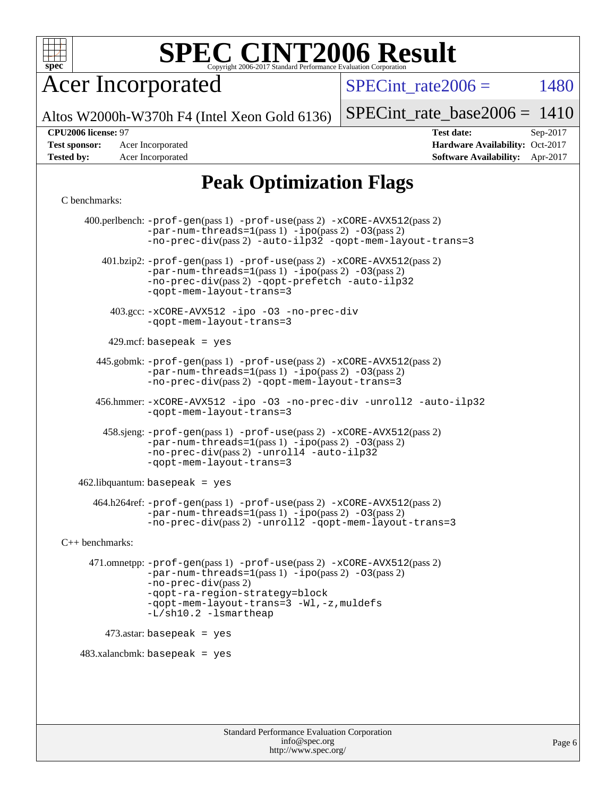

Acer Incorporated

SPECint rate $2006 = 1480$ 

Altos W2000h-W370h F4 (Intel Xeon Gold 6136)

[SPECint\\_rate\\_base2006 =](http://www.spec.org/auto/cpu2006/Docs/result-fields.html#SPECintratebase2006) 1410

#### **[CPU2006 license:](http://www.spec.org/auto/cpu2006/Docs/result-fields.html#CPU2006license)** 97 **[Test date:](http://www.spec.org/auto/cpu2006/Docs/result-fields.html#Testdate)** Sep-2017

**[Test sponsor:](http://www.spec.org/auto/cpu2006/Docs/result-fields.html#Testsponsor)** Acer Incorporated **Acceleration Availability:** Oct-2017 **[Tested by:](http://www.spec.org/auto/cpu2006/Docs/result-fields.html#Testedby)** Acer Incorporated **[Software Availability:](http://www.spec.org/auto/cpu2006/Docs/result-fields.html#SoftwareAvailability)** Apr-2017

# **[Peak Optimization Flags](http://www.spec.org/auto/cpu2006/Docs/result-fields.html#PeakOptimizationFlags)**

#### [C benchmarks](http://www.spec.org/auto/cpu2006/Docs/result-fields.html#Cbenchmarks):

 400.perlbench: [-prof-gen](http://www.spec.org/cpu2006/results/res2017q4/cpu2006-20170918-49445.flags.html#user_peakPASS1_CFLAGSPASS1_LDCFLAGS400_perlbench_prof_gen_e43856698f6ca7b7e442dfd80e94a8fc)(pass 1) [-prof-use](http://www.spec.org/cpu2006/results/res2017q4/cpu2006-20170918-49445.flags.html#user_peakPASS2_CFLAGSPASS2_LDCFLAGS400_perlbench_prof_use_bccf7792157ff70d64e32fe3e1250b55)(pass 2) [-xCORE-AVX512](http://www.spec.org/cpu2006/results/res2017q4/cpu2006-20170918-49445.flags.html#user_peakPASS2_CFLAGSPASS2_LDCFLAGS400_perlbench_f-xCORE-AVX512)(pass 2)  $-par-num-threads=1(pass 1) -ipo(pass 2) -O3(pass 2)$  $-par-num-threads=1(pass 1) -ipo(pass 2) -O3(pass 2)$  $-par-num-threads=1(pass 1) -ipo(pass 2) -O3(pass 2)$  $-par-num-threads=1(pass 1) -ipo(pass 2) -O3(pass 2)$  $-par-num-threads=1(pass 1) -ipo(pass 2) -O3(pass 2)$  $-par-num-threads=1(pass 1) -ipo(pass 2) -O3(pass 2)$ [-no-prec-div](http://www.spec.org/cpu2006/results/res2017q4/cpu2006-20170918-49445.flags.html#user_peakPASS2_CFLAGSPASS2_LDCFLAGS400_perlbench_f-no-prec-div)(pass 2) [-auto-ilp32](http://www.spec.org/cpu2006/results/res2017q4/cpu2006-20170918-49445.flags.html#user_peakCOPTIMIZE400_perlbench_f-auto-ilp32) [-qopt-mem-layout-trans=3](http://www.spec.org/cpu2006/results/res2017q4/cpu2006-20170918-49445.flags.html#user_peakCOPTIMIZE400_perlbench_f-qopt-mem-layout-trans_170f5be61cd2cedc9b54468c59262d5d) 401.bzip2: [-prof-gen](http://www.spec.org/cpu2006/results/res2017q4/cpu2006-20170918-49445.flags.html#user_peakPASS1_CFLAGSPASS1_LDCFLAGS401_bzip2_prof_gen_e43856698f6ca7b7e442dfd80e94a8fc)(pass 1) [-prof-use](http://www.spec.org/cpu2006/results/res2017q4/cpu2006-20170918-49445.flags.html#user_peakPASS2_CFLAGSPASS2_LDCFLAGS401_bzip2_prof_use_bccf7792157ff70d64e32fe3e1250b55)(pass 2) [-xCORE-AVX512](http://www.spec.org/cpu2006/results/res2017q4/cpu2006-20170918-49445.flags.html#user_peakPASS2_CFLAGSPASS2_LDCFLAGS401_bzip2_f-xCORE-AVX512)(pass 2) [-par-num-threads=1](http://www.spec.org/cpu2006/results/res2017q4/cpu2006-20170918-49445.flags.html#user_peakPASS1_CFLAGSPASS1_LDCFLAGS401_bzip2_par_num_threads_786a6ff141b4e9e90432e998842df6c2)(pass 1) [-ipo](http://www.spec.org/cpu2006/results/res2017q4/cpu2006-20170918-49445.flags.html#user_peakPASS2_CFLAGSPASS2_LDCFLAGS401_bzip2_f-ipo)(pass 2) [-O3](http://www.spec.org/cpu2006/results/res2017q4/cpu2006-20170918-49445.flags.html#user_peakPASS2_CFLAGSPASS2_LDCFLAGS401_bzip2_f-O3)(pass 2) [-no-prec-div](http://www.spec.org/cpu2006/results/res2017q4/cpu2006-20170918-49445.flags.html#user_peakPASS2_CFLAGSPASS2_LDCFLAGS401_bzip2_f-no-prec-div)(pass 2) [-qopt-prefetch](http://www.spec.org/cpu2006/results/res2017q4/cpu2006-20170918-49445.flags.html#user_peakCOPTIMIZE401_bzip2_f-qopt-prefetch) [-auto-ilp32](http://www.spec.org/cpu2006/results/res2017q4/cpu2006-20170918-49445.flags.html#user_peakCOPTIMIZE401_bzip2_f-auto-ilp32) [-qopt-mem-layout-trans=3](http://www.spec.org/cpu2006/results/res2017q4/cpu2006-20170918-49445.flags.html#user_peakCOPTIMIZE401_bzip2_f-qopt-mem-layout-trans_170f5be61cd2cedc9b54468c59262d5d) 403.gcc: [-xCORE-AVX512](http://www.spec.org/cpu2006/results/res2017q4/cpu2006-20170918-49445.flags.html#user_peakOPTIMIZE403_gcc_f-xCORE-AVX512) [-ipo](http://www.spec.org/cpu2006/results/res2017q4/cpu2006-20170918-49445.flags.html#user_peakOPTIMIZE403_gcc_f-ipo) [-O3](http://www.spec.org/cpu2006/results/res2017q4/cpu2006-20170918-49445.flags.html#user_peakOPTIMIZE403_gcc_f-O3) [-no-prec-div](http://www.spec.org/cpu2006/results/res2017q4/cpu2006-20170918-49445.flags.html#user_peakOPTIMIZE403_gcc_f-no-prec-div) [-qopt-mem-layout-trans=3](http://www.spec.org/cpu2006/results/res2017q4/cpu2006-20170918-49445.flags.html#user_peakCOPTIMIZE403_gcc_f-qopt-mem-layout-trans_170f5be61cd2cedc9b54468c59262d5d)  $429$ .mcf: basepeak = yes 445.gobmk: [-prof-gen](http://www.spec.org/cpu2006/results/res2017q4/cpu2006-20170918-49445.flags.html#user_peakPASS1_CFLAGSPASS1_LDCFLAGS445_gobmk_prof_gen_e43856698f6ca7b7e442dfd80e94a8fc)(pass 1) [-prof-use](http://www.spec.org/cpu2006/results/res2017q4/cpu2006-20170918-49445.flags.html#user_peakPASS2_CFLAGSPASS2_LDCFLAGSPASS2_LDFLAGS445_gobmk_prof_use_bccf7792157ff70d64e32fe3e1250b55)(pass 2) [-xCORE-AVX512](http://www.spec.org/cpu2006/results/res2017q4/cpu2006-20170918-49445.flags.html#user_peakPASS2_CFLAGSPASS2_LDCFLAGSPASS2_LDFLAGS445_gobmk_f-xCORE-AVX512)(pass 2) [-par-num-threads=1](http://www.spec.org/cpu2006/results/res2017q4/cpu2006-20170918-49445.flags.html#user_peakPASS1_CFLAGSPASS1_LDCFLAGS445_gobmk_par_num_threads_786a6ff141b4e9e90432e998842df6c2)(pass 1) [-ipo](http://www.spec.org/cpu2006/results/res2017q4/cpu2006-20170918-49445.flags.html#user_peakPASS2_LDCFLAGS445_gobmk_f-ipo)(pass 2) [-O3](http://www.spec.org/cpu2006/results/res2017q4/cpu2006-20170918-49445.flags.html#user_peakPASS2_LDCFLAGS445_gobmk_f-O3)(pass 2) [-no-prec-div](http://www.spec.org/cpu2006/results/res2017q4/cpu2006-20170918-49445.flags.html#user_peakPASS2_LDCFLAGS445_gobmk_f-no-prec-div)(pass 2) [-qopt-mem-layout-trans=3](http://www.spec.org/cpu2006/results/res2017q4/cpu2006-20170918-49445.flags.html#user_peakCOPTIMIZE445_gobmk_f-qopt-mem-layout-trans_170f5be61cd2cedc9b54468c59262d5d) 456.hmmer: [-xCORE-AVX512](http://www.spec.org/cpu2006/results/res2017q4/cpu2006-20170918-49445.flags.html#user_peakOPTIMIZE456_hmmer_f-xCORE-AVX512) [-ipo](http://www.spec.org/cpu2006/results/res2017q4/cpu2006-20170918-49445.flags.html#user_peakOPTIMIZE456_hmmer_f-ipo) [-O3](http://www.spec.org/cpu2006/results/res2017q4/cpu2006-20170918-49445.flags.html#user_peakOPTIMIZE456_hmmer_f-O3) [-no-prec-div](http://www.spec.org/cpu2006/results/res2017q4/cpu2006-20170918-49445.flags.html#user_peakOPTIMIZE456_hmmer_f-no-prec-div) [-unroll2](http://www.spec.org/cpu2006/results/res2017q4/cpu2006-20170918-49445.flags.html#user_peakCOPTIMIZE456_hmmer_f-unroll_784dae83bebfb236979b41d2422d7ec2) [-auto-ilp32](http://www.spec.org/cpu2006/results/res2017q4/cpu2006-20170918-49445.flags.html#user_peakCOPTIMIZE456_hmmer_f-auto-ilp32) [-qopt-mem-layout-trans=3](http://www.spec.org/cpu2006/results/res2017q4/cpu2006-20170918-49445.flags.html#user_peakCOPTIMIZE456_hmmer_f-qopt-mem-layout-trans_170f5be61cd2cedc9b54468c59262d5d) 458.sjeng: [-prof-gen](http://www.spec.org/cpu2006/results/res2017q4/cpu2006-20170918-49445.flags.html#user_peakPASS1_CFLAGSPASS1_LDCFLAGS458_sjeng_prof_gen_e43856698f6ca7b7e442dfd80e94a8fc)(pass 1) [-prof-use](http://www.spec.org/cpu2006/results/res2017q4/cpu2006-20170918-49445.flags.html#user_peakPASS2_CFLAGSPASS2_LDCFLAGS458_sjeng_prof_use_bccf7792157ff70d64e32fe3e1250b55)(pass 2) [-xCORE-AVX512](http://www.spec.org/cpu2006/results/res2017q4/cpu2006-20170918-49445.flags.html#user_peakPASS2_CFLAGSPASS2_LDCFLAGS458_sjeng_f-xCORE-AVX512)(pass 2) [-par-num-threads=1](http://www.spec.org/cpu2006/results/res2017q4/cpu2006-20170918-49445.flags.html#user_peakPASS1_CFLAGSPASS1_LDCFLAGS458_sjeng_par_num_threads_786a6ff141b4e9e90432e998842df6c2)(pass 1) [-ipo](http://www.spec.org/cpu2006/results/res2017q4/cpu2006-20170918-49445.flags.html#user_peakPASS2_CFLAGSPASS2_LDCFLAGS458_sjeng_f-ipo)(pass 2) [-O3](http://www.spec.org/cpu2006/results/res2017q4/cpu2006-20170918-49445.flags.html#user_peakPASS2_CFLAGSPASS2_LDCFLAGS458_sjeng_f-O3)(pass 2) [-no-prec-div](http://www.spec.org/cpu2006/results/res2017q4/cpu2006-20170918-49445.flags.html#user_peakPASS2_CFLAGSPASS2_LDCFLAGS458_sjeng_f-no-prec-div)(pass 2) [-unroll4](http://www.spec.org/cpu2006/results/res2017q4/cpu2006-20170918-49445.flags.html#user_peakCOPTIMIZE458_sjeng_f-unroll_4e5e4ed65b7fd20bdcd365bec371b81f) [-auto-ilp32](http://www.spec.org/cpu2006/results/res2017q4/cpu2006-20170918-49445.flags.html#user_peakCOPTIMIZE458_sjeng_f-auto-ilp32) [-qopt-mem-layout-trans=3](http://www.spec.org/cpu2006/results/res2017q4/cpu2006-20170918-49445.flags.html#user_peakCOPTIMIZE458_sjeng_f-qopt-mem-layout-trans_170f5be61cd2cedc9b54468c59262d5d)  $462$ .libquantum: basepeak = yes 464.h264ref: [-prof-gen](http://www.spec.org/cpu2006/results/res2017q4/cpu2006-20170918-49445.flags.html#user_peakPASS1_CFLAGSPASS1_LDCFLAGS464_h264ref_prof_gen_e43856698f6ca7b7e442dfd80e94a8fc)(pass 1) [-prof-use](http://www.spec.org/cpu2006/results/res2017q4/cpu2006-20170918-49445.flags.html#user_peakPASS2_CFLAGSPASS2_LDCFLAGS464_h264ref_prof_use_bccf7792157ff70d64e32fe3e1250b55)(pass 2) [-xCORE-AVX512](http://www.spec.org/cpu2006/results/res2017q4/cpu2006-20170918-49445.flags.html#user_peakPASS2_CFLAGSPASS2_LDCFLAGS464_h264ref_f-xCORE-AVX512)(pass 2) [-par-num-threads=1](http://www.spec.org/cpu2006/results/res2017q4/cpu2006-20170918-49445.flags.html#user_peakPASS1_CFLAGSPASS1_LDCFLAGS464_h264ref_par_num_threads_786a6ff141b4e9e90432e998842df6c2)(pass 1) [-ipo](http://www.spec.org/cpu2006/results/res2017q4/cpu2006-20170918-49445.flags.html#user_peakPASS2_CFLAGSPASS2_LDCFLAGS464_h264ref_f-ipo)(pass 2) [-O3](http://www.spec.org/cpu2006/results/res2017q4/cpu2006-20170918-49445.flags.html#user_peakPASS2_CFLAGSPASS2_LDCFLAGS464_h264ref_f-O3)(pass 2) [-no-prec-div](http://www.spec.org/cpu2006/results/res2017q4/cpu2006-20170918-49445.flags.html#user_peakPASS2_CFLAGSPASS2_LDCFLAGS464_h264ref_f-no-prec-div)(pass 2) [-unroll2](http://www.spec.org/cpu2006/results/res2017q4/cpu2006-20170918-49445.flags.html#user_peakCOPTIMIZE464_h264ref_f-unroll_784dae83bebfb236979b41d2422d7ec2) [-qopt-mem-layout-trans=3](http://www.spec.org/cpu2006/results/res2017q4/cpu2006-20170918-49445.flags.html#user_peakCOPTIMIZE464_h264ref_f-qopt-mem-layout-trans_170f5be61cd2cedc9b54468c59262d5d) [C++ benchmarks:](http://www.spec.org/auto/cpu2006/Docs/result-fields.html#CXXbenchmarks) 471.omnetpp: [-prof-gen](http://www.spec.org/cpu2006/results/res2017q4/cpu2006-20170918-49445.flags.html#user_peakPASS1_CXXFLAGSPASS1_LDCXXFLAGS471_omnetpp_prof_gen_e43856698f6ca7b7e442dfd80e94a8fc)(pass 1) [-prof-use](http://www.spec.org/cpu2006/results/res2017q4/cpu2006-20170918-49445.flags.html#user_peakPASS2_CXXFLAGSPASS2_LDCXXFLAGS471_omnetpp_prof_use_bccf7792157ff70d64e32fe3e1250b55)(pass 2) [-xCORE-AVX512](http://www.spec.org/cpu2006/results/res2017q4/cpu2006-20170918-49445.flags.html#user_peakPASS2_CXXFLAGSPASS2_LDCXXFLAGS471_omnetpp_f-xCORE-AVX512)(pass 2) [-par-num-threads=1](http://www.spec.org/cpu2006/results/res2017q4/cpu2006-20170918-49445.flags.html#user_peakPASS1_CXXFLAGSPASS1_LDCXXFLAGS471_omnetpp_par_num_threads_786a6ff141b4e9e90432e998842df6c2)(pass 1) [-ipo](http://www.spec.org/cpu2006/results/res2017q4/cpu2006-20170918-49445.flags.html#user_peakPASS2_CXXFLAGSPASS2_LDCXXFLAGS471_omnetpp_f-ipo)(pass 2) [-O3](http://www.spec.org/cpu2006/results/res2017q4/cpu2006-20170918-49445.flags.html#user_peakPASS2_CXXFLAGSPASS2_LDCXXFLAGS471_omnetpp_f-O3)(pass 2) [-no-prec-div](http://www.spec.org/cpu2006/results/res2017q4/cpu2006-20170918-49445.flags.html#user_peakPASS2_CXXFLAGSPASS2_LDCXXFLAGS471_omnetpp_f-no-prec-div)(pass 2) [-qopt-ra-region-strategy=block](http://www.spec.org/cpu2006/results/res2017q4/cpu2006-20170918-49445.flags.html#user_peakCXXOPTIMIZE471_omnetpp_f-qopt-ra-region-strategy_430aa8f7c220cbde92ae827fa8d9be32)  [-qopt-mem-layout-trans=3](http://www.spec.org/cpu2006/results/res2017q4/cpu2006-20170918-49445.flags.html#user_peakCXXOPTIMIZE471_omnetpp_f-qopt-mem-layout-trans_170f5be61cd2cedc9b54468c59262d5d) [-Wl,-z,muldefs](http://www.spec.org/cpu2006/results/res2017q4/cpu2006-20170918-49445.flags.html#user_peakEXTRA_LDFLAGS471_omnetpp_link_force_multiple1_74079c344b956b9658436fd1b6dd3a8a) [-L/sh10.2 -lsmartheap](http://www.spec.org/cpu2006/results/res2017q4/cpu2006-20170918-49445.flags.html#user_peakEXTRA_LIBS471_omnetpp_SmartHeap_b831f2d313e2fffa6dfe3f00ffc1f1c0) 473.astar: basepeak = yes  $483.xalanchmk: basepeak = yes$